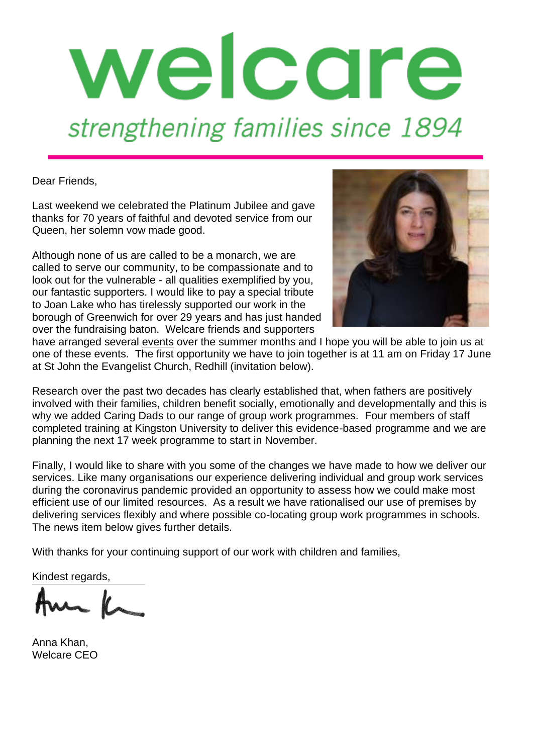

Dear Friends,

Last weekend we celebrated the Platinum Jubilee and gave thanks for 70 years of faithful and devoted service from our Queen, her solemn vow made good.

Although none of us are called to be a monarch, we are called to serve our community, to be compassionate and to look out for the vulnerable - all qualities exemplified by you, our fantastic supporters. I would like to pay a special tribute to Joan Lake who has tirelessly supported our work in the borough of Greenwich for over 29 years and has just handed over the fundraising baton. Welcare friends and supporters



have arranged several [events](https://welcare.org/getinvolved/fundraise/events/) over the summer months and I hope you will be able to join us at one of these events. The first opportunity we have to join together is at 11 am on Friday 17 June at St John the Evangelist Church, Redhill (invitation below).

Research over the past two decades has clearly established that, when fathers are positively involved with their families, children benefit socially, emotionally and developmentally and this is why we added Caring Dads to our range of group work programmes. Four members of staff completed training at Kingston University to deliver this evidence-based programme and we are planning the next 17 week programme to start in November.

Finally, I would like to share with you some of the changes we have made to how we deliver our services. Like many organisations our experience delivering individual and group work services during the coronavirus pandemic provided an opportunity to assess how we could make most efficient use of our limited resources. As a result we have rationalised our use of premises by delivering services flexibly and where possible co-locating group work programmes in schools. The news item below gives further details.

With thanks for your continuing support of our work with children and families,

Kindest regards,

Am K

Anna Khan, Welcare CEO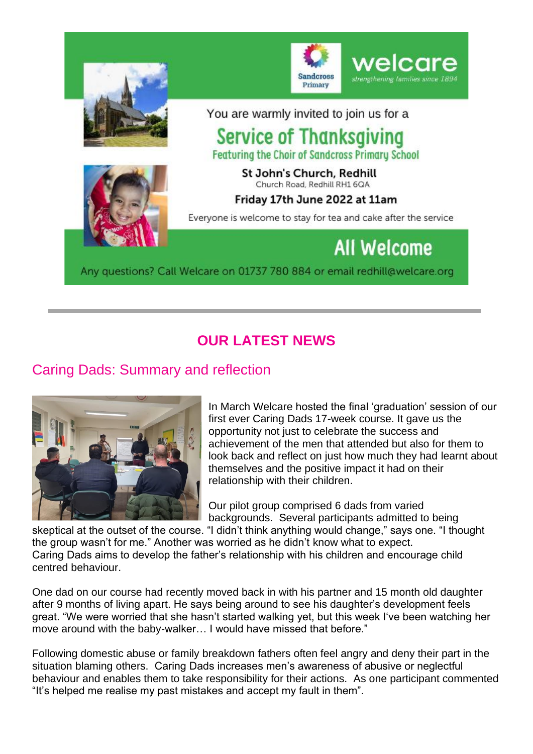

# **OUR LATEST NEWS**

# Caring Dads: Summary and reflection



In March Welcare hosted the final 'graduation' session of our first ever Caring Dads 17-week course. It gave us the opportunity not just to celebrate the success and achievement of the men that attended but also for them to look back and reflect on just how much they had learnt about themselves and the positive impact it had on their relationship with their children.

Our pilot group comprised 6 dads from varied backgrounds. Several participants admitted to being

skeptical at the outset of the course. "I didn't think anything would change," says one. "I thought the group wasn't for me." Another was worried as he didn't know what to expect. Caring Dads aims to develop the father's relationship with his children and encourage child centred behaviour.

One dad on our course had recently moved back in with his partner and 15 month old daughter after 9 months of living apart. He says being around to see his daughter's development feels great. "We were worried that she hasn't started walking yet, but this week I've been watching her move around with the baby-walker… I would have missed that before."

Following domestic abuse or family breakdown fathers often feel angry and deny their part in the situation blaming others. Caring Dads increases men's awareness of abusive or neglectful behaviour and enables them to take responsibility for their actions. As one participant commented "It's helped me realise my past mistakes and accept my fault in them".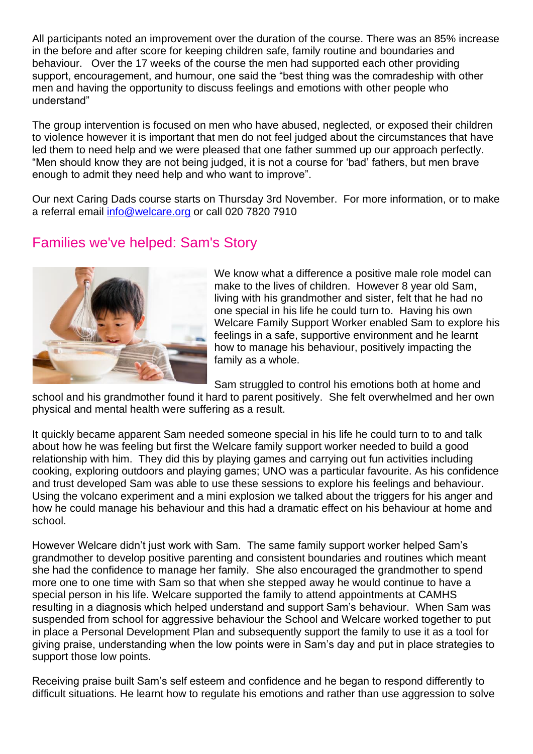All participants noted an improvement over the duration of the course. There was an 85% increase in the before and after score for keeping children safe, family routine and boundaries and behaviour. Over the 17 weeks of the course the men had supported each other providing support, encouragement, and humour, one said the "best thing was the comradeship with other men and having the opportunity to discuss feelings and emotions with other people who understand"

The group intervention is focused on men who have abused, neglected, or exposed their children to violence however it is important that men do not feel judged about the circumstances that have led them to need help and we were pleased that one father summed up our approach perfectly. "Men should know they are not being judged, it is not a course for 'bad' fathers, but men brave enough to admit they need help and who want to improve".

Our next Caring Dads course starts on Thursday 3rd November. For more information, or to make a referral email [info@welcare.org](mailto:info@welcare.org) or call 020 7820 7910

## Families we've helped: Sam's Story



We know what a difference a positive male role model can make to the lives of children. However 8 year old Sam, living with his grandmother and sister, felt that he had no one special in his life he could turn to. Having his own Welcare Family Support Worker enabled Sam to explore his feelings in a safe, supportive environment and he learnt how to manage his behaviour, positively impacting the family as a whole.

Sam struggled to control his emotions both at home and

school and his grandmother found it hard to parent positively. She felt overwhelmed and her own physical and mental health were suffering as a result.

It quickly became apparent Sam needed someone special in his life he could turn to to and talk about how he was feeling but first the Welcare family support worker needed to build a good relationship with him. They did this by playing games and carrying out fun activities including cooking, exploring outdoors and playing games; UNO was a particular favourite. As his confidence and trust developed Sam was able to use these sessions to explore his feelings and behaviour. Using the volcano experiment and a mini explosion we talked about the triggers for his anger and how he could manage his behaviour and this had a dramatic effect on his behaviour at home and school.

However Welcare didn't just work with Sam. The same family support worker helped Sam's grandmother to develop positive parenting and consistent boundaries and routines which meant she had the confidence to manage her family. She also encouraged the grandmother to spend more one to one time with Sam so that when she stepped away he would continue to have a special person in his life. Welcare supported the family to attend appointments at CAMHS resulting in a diagnosis which helped understand and support Sam's behaviour. When Sam was suspended from school for aggressive behaviour the School and Welcare worked together to put in place a Personal Development Plan and subsequently support the family to use it as a tool for giving praise, understanding when the low points were in Sam's day and put in place strategies to support those low points.

Receiving praise built Sam's self esteem and confidence and he began to respond differently to difficult situations. He learnt how to regulate his emotions and rather than use aggression to solve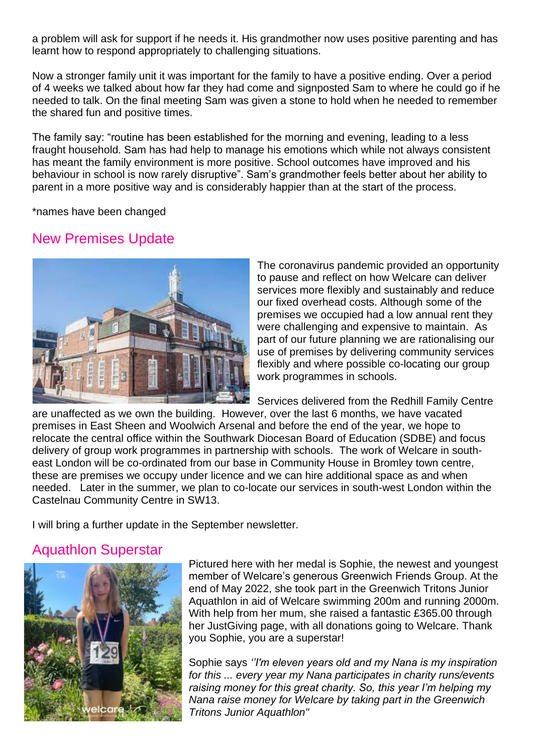a problem will ask for support if he needs it. His grandmother now uses positive parenting and has learnt how to respond appropriately to challenging situations.

Now a stronger family unit it was important for the family to have a positive ending. Over a period of 4 weeks we talked about how far they had come and signposted Sam to where he could go if he needed to talk. On the final meeting Sam was given a stone to hold when he needed to remember the shared fun and positive times.

The family say: "routine has been established for the morning and evening, leading to a less fraught household. Sam has had help to manage his emotions which while not always consistent has meant the family environment is more positive. School outcomes have improved and his behaviour in school is now rarely disruptive". Sam's grandmother feels better about her ability to parent in a more positive way and is considerably happier than at the start of the process.

\*names have been changed

### New Premises Update



The coronavirus pandemic provided an opportunity to pause and reflect on how Welcare can deliver services more flexibly and sustainably and reduce our fixed overhead costs. Although some of the premises we occupied had a low annual rent they were challenging and expensive to maintain. As part of our future planning we are rationalising our use of premises by delivering community services flexibly and where possible co-locating our group work programmes in schools.

Services delivered from the Redhill Family Centre

are unaffected as we own the building. However, over the last 6 months, we have vacated premises in East Sheen and Woolwich Arsenal and before the end of the year, we hope to relocate the central office within the Southwark Diocesan Board of Education (SDBE) and focus delivery of group work programmes in partnership with schools. The work of Welcare in southeast London will be co-ordinated from our base in Community House in Bromley town centre, these are premises we occupy under licence and we can hire additional space as and when needed. Later in the summer, we plan to co-locate our services in south-west London within the Castelnau Community Centre in SW13.

I will bring a further update in the September newsletter.

# Aquathlon Superstar



Pictured here with her medal is Sophie, the newest and youngest member of Welcare's generous Greenwich Friends Group. At the end of May 2022, she took part in the Greenwich Tritons Junior Aquathlon in aid of Welcare swimming 200m and running 2000m. With help from her mum, she raised a fantastic £365.00 through her JustGiving page, with all donations going to Welcare. Thank you Sophie, you are a superstar!

Sophie says *''I'm eleven years old and my Nana is my inspiration for this ... every year my Nana participates in charity runs/events raising money for this great charity. So, this year I'm helping my Nana raise money for Welcare by taking part in the Greenwich Tritons Junior Aquathlon"*